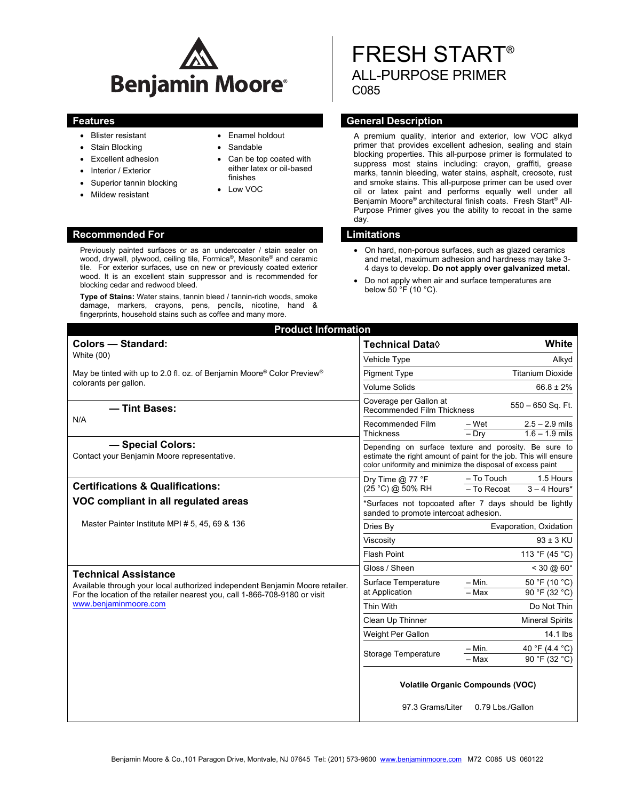

Previously painted surfaces or as an undercoater / stain sealer on wood, drywall, plywood, ceiling tile, Formica<sup>®</sup>, Masonite<sup>®</sup> and ceramic tile. For exterior surfaces, use on new or previously coated exterior wood. It is an excellent stain suppressor and is recommended for

**Type of Stains:** Water stains, tannin bleed / tannin-rich woods, smoke damage, markers, crayons, pens, pencils, nicotine, hand &

- Blister resistant
- Stain Blocking
- Excellent adhesion
- Interior / Exterior
- Superior tannin blocking

blocking cedar and redwood bleed.

- Mildew resistant
- Enamel holdout
- Sandable
- Can be top coated with either latex or oil-based finishes
- Low VOC

# FRESH START® ALL-PURPOSE PRIMER C085

# **Features General Description Contract Description Acts and Acts and Acts and Acts and Acts and Acts and Acts and Acts and Acts and Acts and Acts and Acts and Acts and Acts and Acts and Acts and Acts and Acts and Acts and**

A premium quality, interior and exterior, low VOC alkyd primer that provides excellent adhesion, sealing and stain blocking properties. This all-purpose primer is formulated to suppress most stains including: crayon, graffiti, grease marks, tannin bleeding, water stains, asphalt, creosote, rust and smoke stains. This all-purpose primer can be used over oil or latex paint and performs equally well under all Benjamin Moore® architectural finish coats. Fresh Start® All-Purpose Primer gives you the ability to recoat in the same day.

### **Recommended For Limitations**

- On hard, non-porous surfaces, such as glazed ceramics and metal, maximum adhesion and hardness may take 3- 4 days to develop. **Do not apply over galvanized metal.**
- Do not apply when air and surface temperatures are below 50 °F (10 °C).

| fingerprints, household stains such as coffee and many more.                                                                                                                        |                                                                                                                                                                                         |
|-------------------------------------------------------------------------------------------------------------------------------------------------------------------------------------|-----------------------------------------------------------------------------------------------------------------------------------------------------------------------------------------|
| <b>Product Information</b>                                                                                                                                                          |                                                                                                                                                                                         |
| <b>Colors - Standard:</b>                                                                                                                                                           | <b>Technical Data</b> ♦<br>White                                                                                                                                                        |
| White (00)                                                                                                                                                                          | Vehicle Type<br>Alkyd                                                                                                                                                                   |
| May be tinted with up to 2.0 fl. oz. of Benjamin Moore® Color Preview®<br>colorants per gallon.                                                                                     | <b>Titanium Dioxide</b><br><b>Pigment Type</b>                                                                                                                                          |
|                                                                                                                                                                                     | <b>Volume Solids</b><br>$66.8 \pm 2\%$                                                                                                                                                  |
| - Tint Bases:                                                                                                                                                                       | Coverage per Gallon at<br>550 - 650 Sq. Ft.<br>Recommended Film Thickness                                                                                                               |
| N/A                                                                                                                                                                                 | Recommended Film<br>– Wet<br>$2.5 - 2.9$ mils<br><b>Thickness</b><br>$1.6 - 1.9$ mils<br>$-$ Drv                                                                                        |
| - Special Colors:<br>Contact your Benjamin Moore representative.                                                                                                                    | Depending on surface texture and porosity. Be sure to<br>estimate the right amount of paint for the job. This will ensure<br>color uniformity and minimize the disposal of excess paint |
| <b>Certifications &amp; Qualifications:</b>                                                                                                                                         | - To Touch<br>1.5 Hours<br>Dry Time $@$ 77 °F<br>(25 °C) @ 50% RH<br>- To Recoat<br>$3 - 4$ Hours*                                                                                      |
| VOC compliant in all regulated areas                                                                                                                                                | *Surfaces not topcoated after 7 days should be lightly<br>sanded to promote intercoat adhesion.                                                                                         |
| Master Painter Institute MPI # 5, 45, 69 & 136                                                                                                                                      | Evaporation, Oxidation<br>Dries By                                                                                                                                                      |
|                                                                                                                                                                                     | $93 \pm 3$ KU<br>Viscosity                                                                                                                                                              |
|                                                                                                                                                                                     | <b>Flash Point</b><br>113 °F (45 °C)                                                                                                                                                    |
| <b>Technical Assistance</b>                                                                                                                                                         | Gloss / Sheen<br>$< 30 \ (20 \ 60^\circ)$                                                                                                                                               |
| Available through your local authorized independent Benjamin Moore retailer.<br>For the location of the retailer nearest you, call 1-866-708-9180 or visit<br>www.benjaminmoore.com | $- Min.$<br>50 °F (10 °C)<br>Surface Temperature<br>at Application<br>$-$ Max<br>90 °F (32 °C)                                                                                          |
|                                                                                                                                                                                     | Thin With<br>Do Not Thin                                                                                                                                                                |
|                                                                                                                                                                                     | Clean Up Thinner<br><b>Mineral Spirits</b>                                                                                                                                              |
|                                                                                                                                                                                     | Weight Per Gallon<br>14.1 lbs                                                                                                                                                           |
|                                                                                                                                                                                     | 40 °F (4.4 °C)<br>$-$ Min.<br><b>Storage Temperature</b><br>- Max<br>90 °F (32 °C)                                                                                                      |
|                                                                                                                                                                                     | <b>Volatile Organic Compounds (VOC)</b>                                                                                                                                                 |
|                                                                                                                                                                                     | 97.3 Grams/Liter<br>0.79 Lbs./Gallon                                                                                                                                                    |